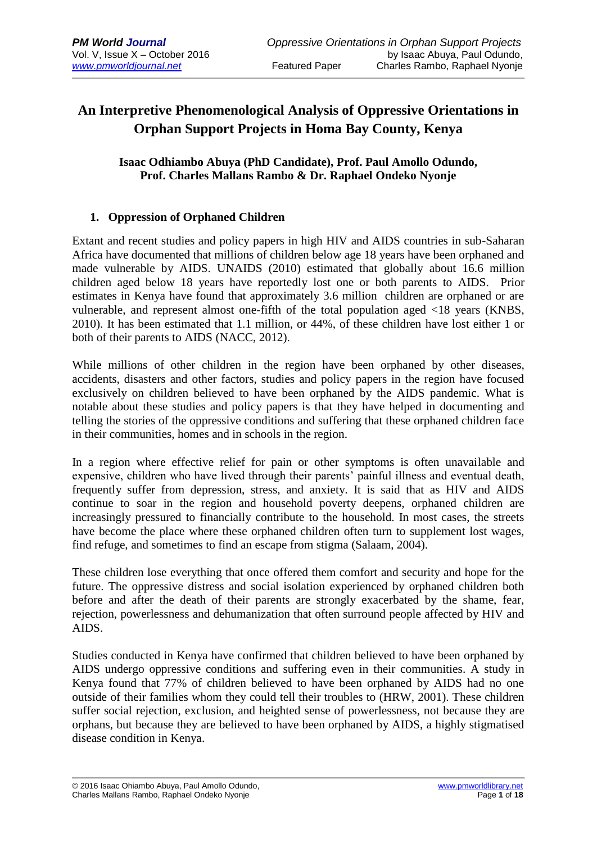## **An Interpretive Phenomenological Analysis of Oppressive Orientations in Orphan Support Projects in Homa Bay County, Kenya**

### **Isaac Odhiambo Abuya (PhD Candidate), Prof. Paul Amollo Odundo, Prof. Charles Mallans Rambo & Dr. Raphael Ondeko Nyonje**

### **1. Oppression of Orphaned Children**

Extant and recent studies and policy papers in high HIV and AIDS countries in sub-Saharan Africa have documented that millions of children below age 18 years have been orphaned and made vulnerable by AIDS. UNAIDS (2010) estimated that globally about 16.6 million children aged below 18 years have reportedly lost one or both parents to AIDS. Prior estimates in Kenya have found that approximately 3.6 million children are orphaned or are vulnerable, and represent almost one-fifth of the total population aged <18 years (KNBS, 2010). It has been estimated that 1.1 million, or 44%, of these children have lost either 1 or both of their parents to AIDS (NACC, 2012).

While millions of other children in the region have been orphaned by other diseases, accidents, disasters and other factors, studies and policy papers in the region have focused exclusively on children believed to have been orphaned by the AIDS pandemic. What is notable about these studies and policy papers is that they have helped in documenting and telling the stories of the oppressive conditions and suffering that these orphaned children face in their communities, homes and in schools in the region.

In a region where effective relief for pain or other symptoms is often unavailable and expensive, children who have lived through their parents' painful illness and eventual death, frequently suffer from depression, stress, and anxiety. It is said that as HIV and AIDS continue to soar in the region and household poverty deepens, orphaned children are increasingly pressured to financially contribute to the household. In most cases, the streets have become the place where these orphaned children often turn to supplement lost wages, find refuge, and sometimes to find an escape from stigma (Salaam, 2004).

These children lose everything that once offered them comfort and security and hope for the future. The oppressive distress and social isolation experienced by orphaned children both before and after the death of their parents are strongly exacerbated by the shame, fear, rejection, powerlessness and dehumanization that often surround people affected by HIV and AIDS.

Studies conducted in Kenya have confirmed that children believed to have been orphaned by AIDS undergo oppressive conditions and suffering even in their communities. A study in Kenya found that 77% of children believed to have been orphaned by AIDS had no one outside of their families whom they could tell their troubles to (HRW, 2001). These children suffer social rejection, exclusion, and heighted sense of powerlessness, not because they are orphans, but because they are believed to have been orphaned by AIDS, a highly stigmatised disease condition in Kenya.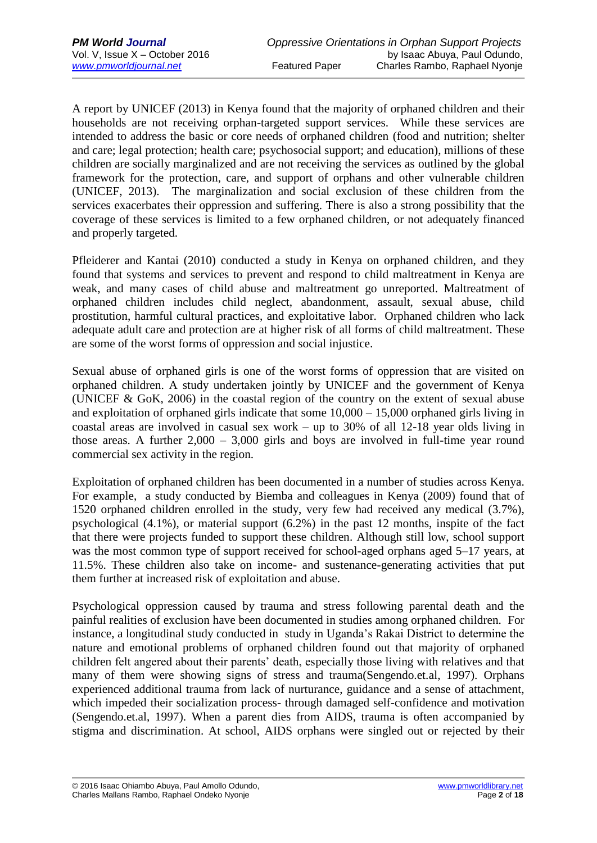A report by UNICEF (2013) in Kenya found that the majority of orphaned children and their households are not receiving orphan-targeted support services. While these services are intended to address the basic or core needs of orphaned children (food and nutrition; shelter and care; legal protection; health care; psychosocial support; and education), millions of these children are socially marginalized and are not receiving the services as outlined by the global framework for the protection, care, and support of orphans and other vulnerable children (UNICEF, 2013). The marginalization and social exclusion of these children from the services exacerbates their oppression and suffering. There is also a strong possibility that the coverage of these services is limited to a few orphaned children, or not adequately financed and properly targeted.

Pfleiderer and Kantai (2010) conducted a study in Kenya on orphaned children, and they found that systems and services to prevent and respond to child maltreatment in Kenya are weak, and many cases of child abuse and maltreatment go unreported. Maltreatment of orphaned children includes child neglect, abandonment, assault, sexual abuse, child prostitution, harmful cultural practices, and exploitative labor. Orphaned children who lack adequate adult care and protection are at higher risk of all forms of child maltreatment. These are some of the worst forms of oppression and social injustice.

Sexual abuse of orphaned girls is one of the worst forms of oppression that are visited on orphaned children. A study undertaken jointly by UNICEF and the government of Kenya (UNICEF & GoK, 2006) in the coastal region of the country on the extent of sexual abuse and exploitation of orphaned girls indicate that some 10,000 – 15,000 orphaned girls living in coastal areas are involved in casual sex work – up to 30% of all 12-18 year olds living in those areas. A further  $2,000 - 3,000$  girls and boys are involved in full-time year round commercial sex activity in the region.

Exploitation of orphaned children has been documented in a number of studies across Kenya. For example, a study conducted by Biemba and colleagues in Kenya (2009) found that of 1520 orphaned children enrolled in the study, very few had received any medical (3.7%), psychological (4.1%), or material support (6.2%) in the past 12 months, inspite of the fact that there were projects funded to support these children. Although still low, school support was the most common type of support received for school-aged orphans aged 5–17 years, at 11.5%. These children also take on income- and sustenance-generating activities that put them further at increased risk of exploitation and abuse.

Psychological oppression caused by trauma and stress following parental death and the painful realities of exclusion have been documented in studies among orphaned children. For instance, a longitudinal study conducted in study in Uganda's Rakai District to determine the nature and emotional problems of orphaned children found out that majority of orphaned children felt angered about their parents' death, especially those living with relatives and that many of them were showing signs of stress and trauma(Sengendo.et.al, 1997). Orphans experienced additional trauma from lack of nurturance, guidance and a sense of attachment, which impeded their socialization process- through damaged self-confidence and motivation (Sengendo.et.al, 1997). When a parent dies from AIDS, trauma is often accompanied by stigma and discrimination. At school, AIDS orphans were singled out or rejected by their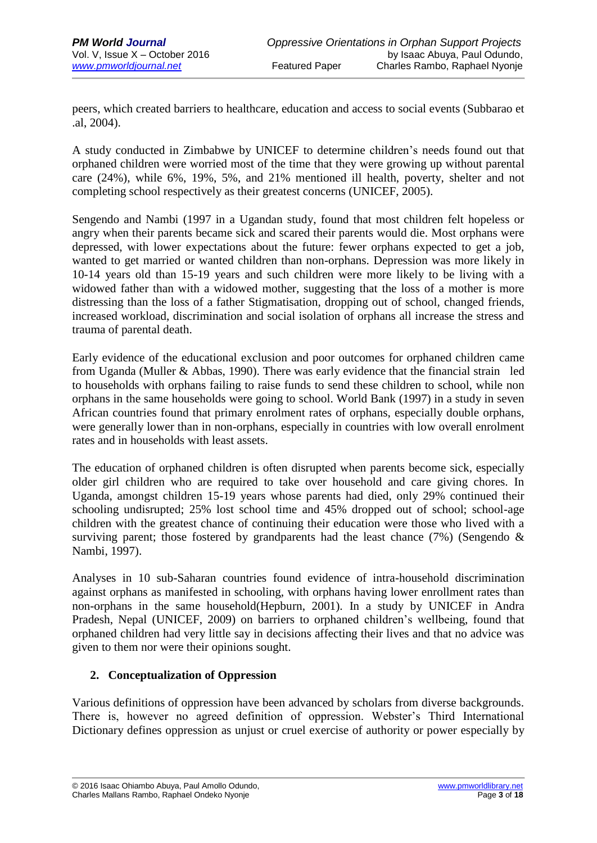peers, which created barriers to healthcare, education and access to social events (Subbarao et .al, 2004).

A study conducted in Zimbabwe by UNICEF to determine children's needs found out that orphaned children were worried most of the time that they were growing up without parental care (24%), while 6%, 19%, 5%, and 21% mentioned ill health, poverty, shelter and not completing school respectively as their greatest concerns (UNICEF, 2005).

Sengendo and Nambi (1997 in a Ugandan study, found that most children felt hopeless or angry when their parents became sick and scared their parents would die. Most orphans were depressed, with lower expectations about the future: fewer orphans expected to get a job, wanted to get married or wanted children than non-orphans. Depression was more likely in 10-14 years old than 15-19 years and such children were more likely to be living with a widowed father than with a widowed mother, suggesting that the loss of a mother is more distressing than the loss of a father Stigmatisation, dropping out of school, changed friends, increased workload, discrimination and social isolation of orphans all increase the stress and trauma of parental death.

Early evidence of the educational exclusion and poor outcomes for orphaned children came from Uganda (Muller & Abbas, 1990). There was early evidence that the financial strain led to households with orphans failing to raise funds to send these children to school, while non orphans in the same households were going to school. World Bank (1997) in a study in seven African countries found that primary enrolment rates of orphans, especially double orphans, were generally lower than in non-orphans, especially in countries with low overall enrolment rates and in households with least assets.

The education of orphaned children is often disrupted when parents become sick, especially older girl children who are required to take over household and care giving chores. In Uganda, amongst children 15-19 years whose parents had died, only 29% continued their schooling undisrupted; 25% lost school time and 45% dropped out of school; school-age children with the greatest chance of continuing their education were those who lived with a surviving parent; those fostered by grandparents had the least chance  $(7%)$  (Sengendo & Nambi, 1997).

Analyses in 10 sub-Saharan countries found evidence of intra-household discrimination against orphans as manifested in schooling, with orphans having lower enrollment rates than non-orphans in the same household(Hepburn, 2001). In a study by UNICEF in Andra Pradesh, Nepal (UNICEF, 2009) on barriers to orphaned children's wellbeing, found that orphaned children had very little say in decisions affecting their lives and that no advice was given to them nor were their opinions sought.

## **2. Conceptualization of Oppression**

Various definitions of oppression have been advanced by scholars from diverse backgrounds. There is, however no agreed definition of oppression. Webster's Third International Dictionary defines oppression as unjust or cruel exercise of authority or power especially by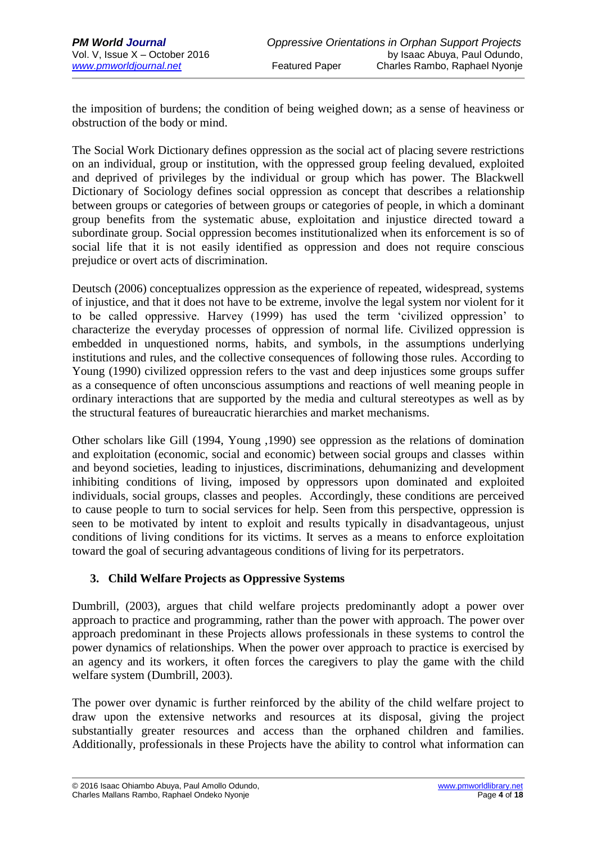the imposition of burdens; the condition of being weighed down; as a sense of heaviness or obstruction of the body or mind.

The Social Work Dictionary defines oppression as the social act of placing severe restrictions on an individual, group or institution, with the oppressed group feeling devalued, exploited and deprived of privileges by the individual or group which has power. The Blackwell Dictionary of Sociology defines social oppression as concept that describes a relationship between groups or categories of between groups or categories of people, in which a dominant group benefits from the systematic abuse, exploitation and injustice directed toward a subordinate group. Social oppression becomes institutionalized when its enforcement is so of social life that it is not easily identified as oppression and does not require conscious prejudice or overt acts of discrimination.

Deutsch (2006) conceptualizes oppression as the experience of repeated, widespread, systems of injustice, and that it does not have to be extreme, involve the legal system nor violent for it to be called oppressive. Harvey (1999) has used the term 'civilized oppression' to characterize the everyday processes of oppression of normal life. Civilized oppression is embedded in unquestioned norms, habits, and symbols, in the assumptions underlying institutions and rules, and the collective consequences of following those rules. According to Young (1990) civilized oppression refers to the vast and deep injustices some groups suffer as a consequence of often unconscious assumptions and reactions of well meaning people in ordinary interactions that are supported by the media and cultural stereotypes as well as by the structural features of bureaucratic hierarchies and market mechanisms.

Other scholars like Gill (1994, Young ,1990) see oppression as the relations of domination and exploitation (economic, social and economic) between social groups and classes within and beyond societies, leading to injustices, discriminations, dehumanizing and development inhibiting conditions of living, imposed by oppressors upon dominated and exploited individuals, social groups, classes and peoples. Accordingly, these conditions are perceived to cause people to turn to social services for help. Seen from this perspective, oppression is seen to be motivated by intent to exploit and results typically in disadvantageous, unjust conditions of living conditions for its victims. It serves as a means to enforce exploitation toward the goal of securing advantageous conditions of living for its perpetrators.

## **3. Child Welfare Projects as Oppressive Systems**

Dumbrill, (2003), argues that child welfare projects predominantly adopt a power over approach to practice and programming, rather than the power with approach. The power over approach predominant in these Projects allows professionals in these systems to control the power dynamics of relationships. When the power over approach to practice is exercised by an agency and its workers, it often forces the caregivers to play the game with the child welfare system (Dumbrill, 2003).

The power over dynamic is further reinforced by the ability of the child welfare project to draw upon the extensive networks and resources at its disposal, giving the project substantially greater resources and access than the orphaned children and families. Additionally, professionals in these Projects have the ability to control what information can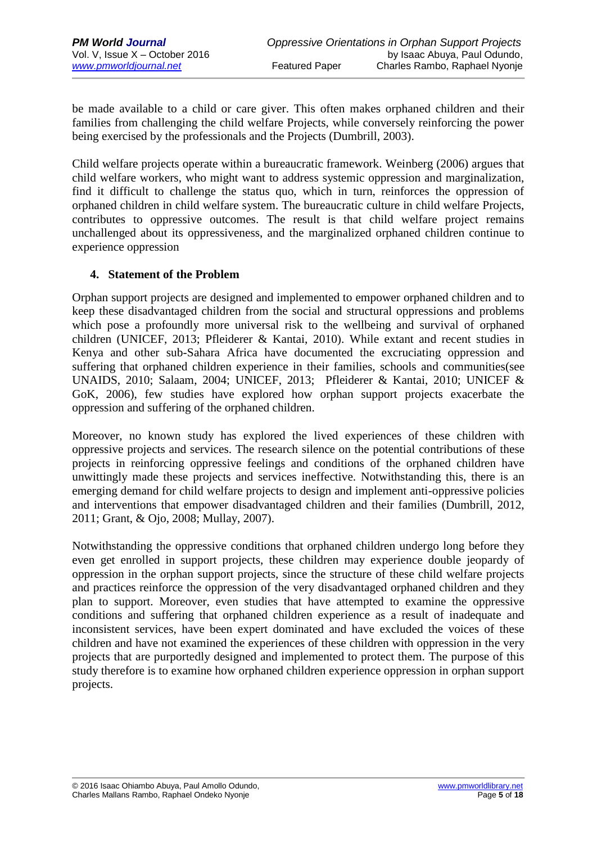be made available to a child or care giver. This often makes orphaned children and their families from challenging the child welfare Projects, while conversely reinforcing the power being exercised by the professionals and the Projects (Dumbrill, 2003).

Child welfare projects operate within a bureaucratic framework. Weinberg (2006) argues that child welfare workers, who might want to address systemic oppression and marginalization, find it difficult to challenge the status quo, which in turn, reinforces the oppression of orphaned children in child welfare system. The bureaucratic culture in child welfare Projects, contributes to oppressive outcomes. The result is that child welfare project remains unchallenged about its oppressiveness, and the marginalized orphaned children continue to experience oppression

#### **4. Statement of the Problem**

Orphan support projects are designed and implemented to empower orphaned children and to keep these disadvantaged children from the social and structural oppressions and problems which pose a profoundly more universal risk to the wellbeing and survival of orphaned children (UNICEF, 2013; Pfleiderer & Kantai, 2010). While extant and recent studies in Kenya and other sub-Sahara Africa have documented the excruciating oppression and suffering that orphaned children experience in their families, schools and communities(see UNAIDS, 2010; Salaam, 2004; UNICEF, 2013; Pfleiderer & Kantai, 2010; UNICEF & GoK, 2006), few studies have explored how orphan support projects exacerbate the oppression and suffering of the orphaned children.

Moreover, no known study has explored the lived experiences of these children with oppressive projects and services. The research silence on the potential contributions of these projects in reinforcing oppressive feelings and conditions of the orphaned children have unwittingly made these projects and services ineffective. Notwithstanding this, there is an emerging demand for child welfare projects to design and implement anti-oppressive policies and interventions that empower disadvantaged children and their families (Dumbrill, 2012, 2011; Grant, & Ojo, 2008; Mullay, 2007).

Notwithstanding the oppressive conditions that orphaned children undergo long before they even get enrolled in support projects, these children may experience double jeopardy of oppression in the orphan support projects, since the structure of these child welfare projects and practices reinforce the oppression of the very disadvantaged orphaned children and they plan to support. Moreover, even studies that have attempted to examine the oppressive conditions and suffering that orphaned children experience as a result of inadequate and inconsistent services, have been expert dominated and have excluded the voices of these children and have not examined the experiences of these children with oppression in the very projects that are purportedly designed and implemented to protect them. The purpose of this study therefore is to examine how orphaned children experience oppression in orphan support projects.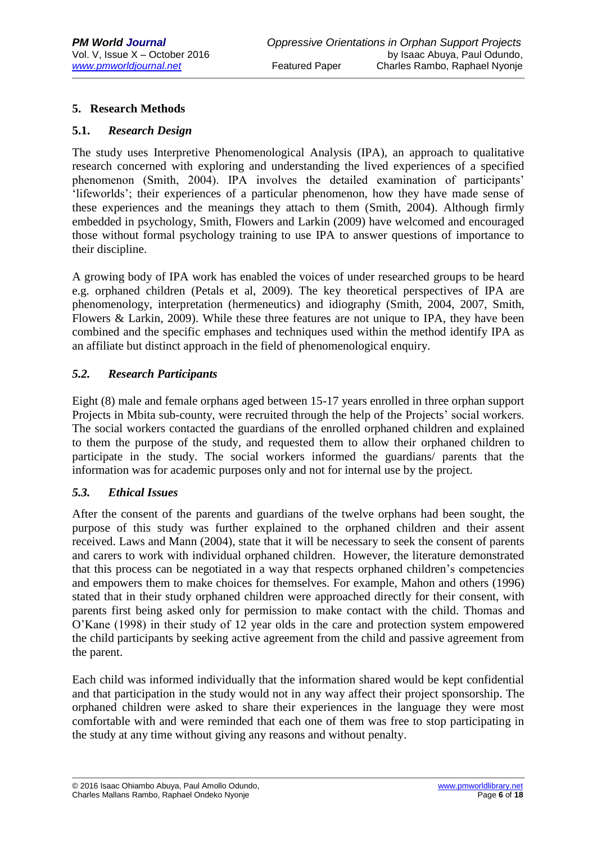#### **5. Research Methods**

#### **5.1.** *Research Design*

The study uses Interpretive Phenomenological Analysis (IPA), an approach to qualitative research concerned with exploring and understanding the lived experiences of a specified phenomenon (Smith, 2004). IPA involves the detailed examination of participants' 'lifeworlds'; their experiences of a particular phenomenon, how they have made sense of these experiences and the meanings they attach to them (Smith, 2004). Although firmly embedded in psychology, Smith, Flowers and Larkin (2009) have welcomed and encouraged those without formal psychology training to use IPA to answer questions of importance to their discipline.

A growing body of IPA work has enabled the voices of under researched groups to be heard e.g. orphaned children (Petals et al, 2009). The key theoretical perspectives of IPA are phenomenology, interpretation (hermeneutics) and idiography (Smith, 2004, 2007, Smith, Flowers & Larkin, 2009). While these three features are not unique to IPA, they have been combined and the specific emphases and techniques used within the method identify IPA as an affiliate but distinct approach in the field of phenomenological enquiry.

#### *5.2. Research Participants*

Eight (8) male and female orphans aged between 15-17 years enrolled in three orphan support Projects in Mbita sub-county, were recruited through the help of the Projects' social workers. The social workers contacted the guardians of the enrolled orphaned children and explained to them the purpose of the study, and requested them to allow their orphaned children to participate in the study. The social workers informed the guardians/ parents that the information was for academic purposes only and not for internal use by the project.

#### *5.3. Ethical Issues*

After the consent of the parents and guardians of the twelve orphans had been sought, the purpose of this study was further explained to the orphaned children and their assent received. Laws and Mann (2004), state that it will be necessary to seek the consent of parents and carers to work with individual orphaned children. However, the literature demonstrated that this process can be negotiated in a way that respects orphaned children's competencies and empowers them to make choices for themselves. For example, Mahon and others (1996) stated that in their study orphaned children were approached directly for their consent, with parents first being asked only for permission to make contact with the child. Thomas and O'Kane (1998) in their study of 12 year olds in the care and protection system empowered the child participants by seeking active agreement from the child and passive agreement from the parent.

Each child was informed individually that the information shared would be kept confidential and that participation in the study would not in any way affect their project sponsorship. The orphaned children were asked to share their experiences in the language they were most comfortable with and were reminded that each one of them was free to stop participating in the study at any time without giving any reasons and without penalty.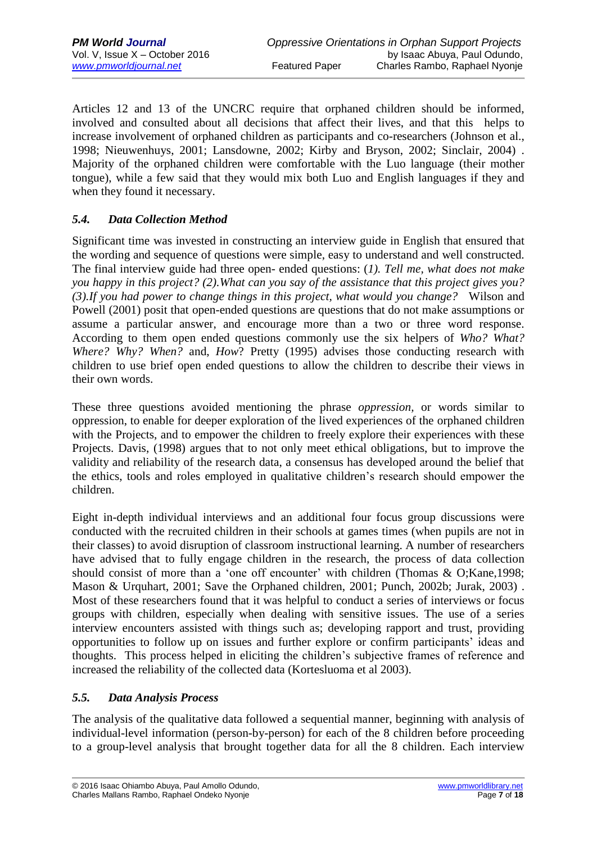Articles 12 and 13 of the UNCRC require that orphaned children should be informed, involved and consulted about all decisions that affect their lives, and that this helps to increase involvement of orphaned children as participants and co-researchers (Johnson et al., 1998; Nieuwenhuys, 2001; Lansdowne, 2002; Kirby and Bryson, 2002; Sinclair, 2004) . Majority of the orphaned children were comfortable with the Luo language (their mother tongue), while a few said that they would mix both Luo and English languages if they and when they found it necessary.

## *5.4. Data Collection Method*

Significant time was invested in constructing an interview guide in English that ensured that the wording and sequence of questions were simple, easy to understand and well constructed. The final interview guide had three open- ended questions: (*1). Tell me, what does not make you happy in this project? (2).What can you say of the assistance that this project gives you? (3).If you had power to change things in this project, what would you change?* Wilson and Powell (2001) posit that open-ended questions are questions that do not make assumptions or assume a particular answer, and encourage more than a two or three word response. According to them open ended questions commonly use the six helpers of *Who? What? Where? Why? When?* and, *How*? Pretty (1995) advises those conducting research with children to use brief open ended questions to allow the children to describe their views in their own words.

These three questions avoided mentioning the phrase *oppression,* or words similar to oppression, to enable for deeper exploration of the lived experiences of the orphaned children with the Projects, and to empower the children to freely explore their experiences with these Projects. Davis, (1998) argues that to not only meet ethical obligations, but to improve the validity and reliability of the research data, a consensus has developed around the belief that the ethics, tools and roles employed in qualitative children's research should empower the children.

Eight in-depth individual interviews and an additional four focus group discussions were conducted with the recruited children in their schools at games times (when pupils are not in their classes) to avoid disruption of classroom instructional learning. A number of researchers have advised that to fully engage children in the research, the process of data collection should consist of more than a 'one off encounter' with children (Thomas & O;Kane,1998; Mason & Urquhart, 2001; Save the Orphaned children, 2001; Punch, 2002b; Jurak, 2003) . Most of these researchers found that it was helpful to conduct a series of interviews or focus groups with children, especially when dealing with sensitive issues. The use of a series interview encounters assisted with things such as; developing rapport and trust, providing opportunities to follow up on issues and further explore or confirm participants' ideas and thoughts. This process helped in eliciting the children's subjective frames of reference and increased the reliability of the collected data (Kortesluoma et al 2003).

#### *5.5. Data Analysis Process*

The analysis of the qualitative data followed a sequential manner, beginning with analysis of individual-level information (person-by-person) for each of the 8 children before proceeding to a group-level analysis that brought together data for all the 8 children. Each interview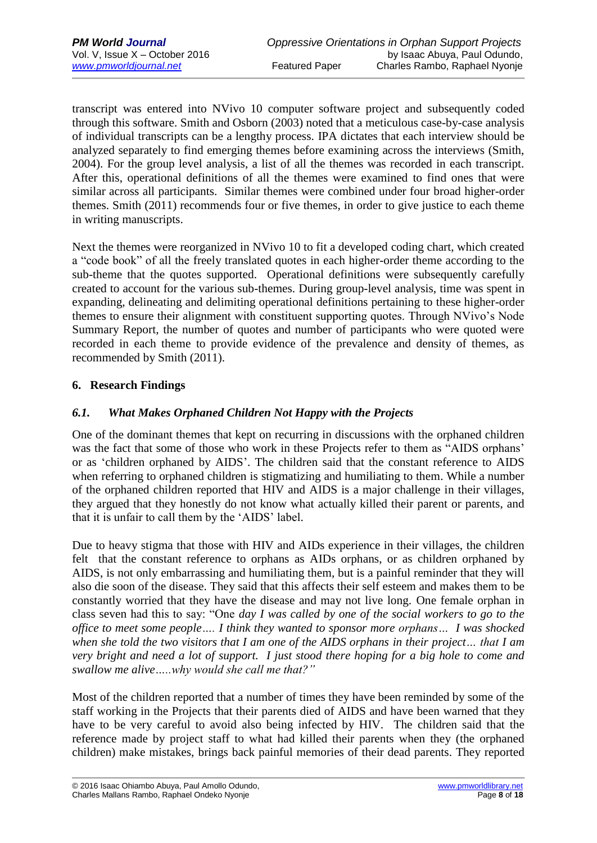transcript was entered into NVivo 10 computer software project and subsequently coded through this software. Smith and Osborn (2003) noted that a meticulous case-by-case analysis of individual transcripts can be a lengthy process. IPA dictates that each interview should be analyzed separately to find emerging themes before examining across the interviews (Smith, 2004). For the group level analysis, a list of all the themes was recorded in each transcript. After this, operational definitions of all the themes were examined to find ones that were similar across all participants. Similar themes were combined under four broad higher-order themes. Smith (2011) recommends four or five themes, in order to give justice to each theme in writing manuscripts.

Next the themes were reorganized in NVivo 10 to fit a developed coding chart, which created a "code book" of all the freely translated quotes in each higher-order theme according to the sub-theme that the quotes supported. Operational definitions were subsequently carefully created to account for the various sub-themes. During group-level analysis, time was spent in expanding, delineating and delimiting operational definitions pertaining to these higher-order themes to ensure their alignment with constituent supporting quotes. Through NVivo's Node Summary Report, the number of quotes and number of participants who were quoted were recorded in each theme to provide evidence of the prevalence and density of themes, as recommended by Smith (2011).

### **6. Research Findings**

### *6.1. What Makes Orphaned Children Not Happy with the Projects*

One of the dominant themes that kept on recurring in discussions with the orphaned children was the fact that some of those who work in these Projects refer to them as "AIDS orphans' or as 'children orphaned by AIDS'. The children said that the constant reference to AIDS when referring to orphaned children is stigmatizing and humiliating to them. While a number of the orphaned children reported that HIV and AIDS is a major challenge in their villages, they argued that they honestly do not know what actually killed their parent or parents, and that it is unfair to call them by the 'AIDS' label.

Due to heavy stigma that those with HIV and AIDs experience in their villages, the children felt that the constant reference to orphans as AIDs orphans, or as children orphaned by AIDS, is not only embarrassing and humiliating them, but is a painful reminder that they will also die soon of the disease. They said that this affects their self esteem and makes them to be constantly worried that they have the disease and may not live long. One female orphan in class seven had this to say: "One *day I was called by one of the social workers to go to the office to meet some people…. I think they wanted to sponsor more orphans… I was shocked when she told the two visitors that I am one of the AIDS orphans in their project… that I am very bright and need a lot of support. I just stood there hoping for a big hole to come and swallow me alive…..why would she call me that?"*

Most of the children reported that a number of times they have been reminded by some of the staff working in the Projects that their parents died of AIDS and have been warned that they have to be very careful to avoid also being infected by HIV. The children said that the reference made by project staff to what had killed their parents when they (the orphaned children) make mistakes, brings back painful memories of their dead parents. They reported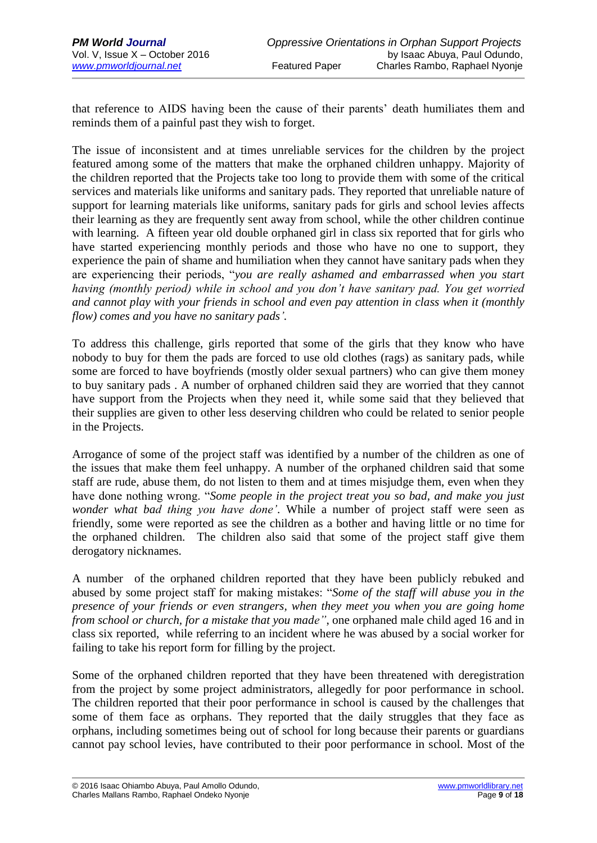that reference to AIDS having been the cause of their parents' death humiliates them and reminds them of a painful past they wish to forget.

The issue of inconsistent and at times unreliable services for the children by the project featured among some of the matters that make the orphaned children unhappy. Majority of the children reported that the Projects take too long to provide them with some of the critical services and materials like uniforms and sanitary pads. They reported that unreliable nature of support for learning materials like uniforms, sanitary pads for girls and school levies affects their learning as they are frequently sent away from school, while the other children continue with learning. A fifteen year old double orphaned girl in class six reported that for girls who have started experiencing monthly periods and those who have no one to support, they experience the pain of shame and humiliation when they cannot have sanitary pads when they are experiencing their periods, "*you are really ashamed and embarrassed when you start having (monthly period) while in school and you don't have sanitary pad. You get worried and cannot play with your friends in school and even pay attention in class when it (monthly flow) comes and you have no sanitary pads'.*

To address this challenge, girls reported that some of the girls that they know who have nobody to buy for them the pads are forced to use old clothes (rags) as sanitary pads, while some are forced to have boyfriends (mostly older sexual partners) who can give them money to buy sanitary pads . A number of orphaned children said they are worried that they cannot have support from the Projects when they need it, while some said that they believed that their supplies are given to other less deserving children who could be related to senior people in the Projects.

Arrogance of some of the project staff was identified by a number of the children as one of the issues that make them feel unhappy. A number of the orphaned children said that some staff are rude, abuse them, do not listen to them and at times misjudge them, even when they have done nothing wrong. "*Some people in the project treat you so bad, and make you just wonder what bad thing you have done'*. While a number of project staff were seen as friendly, some were reported as see the children as a bother and having little or no time for the orphaned children. The children also said that some of the project staff give them derogatory nicknames.

A number of the orphaned children reported that they have been publicly rebuked and abused by some project staff for making mistakes: "*Some of the staff will abuse you in the presence of your friends or even strangers, when they meet you when you are going home from school or church, for a mistake that you made"*, one orphaned male child aged 16 and in class six reported, while referring to an incident where he was abused by a social worker for failing to take his report form for filling by the project.

Some of the orphaned children reported that they have been threatened with deregistration from the project by some project administrators, allegedly for poor performance in school. The children reported that their poor performance in school is caused by the challenges that some of them face as orphans. They reported that the daily struggles that they face as orphans, including sometimes being out of school for long because their parents or guardians cannot pay school levies, have contributed to their poor performance in school. Most of the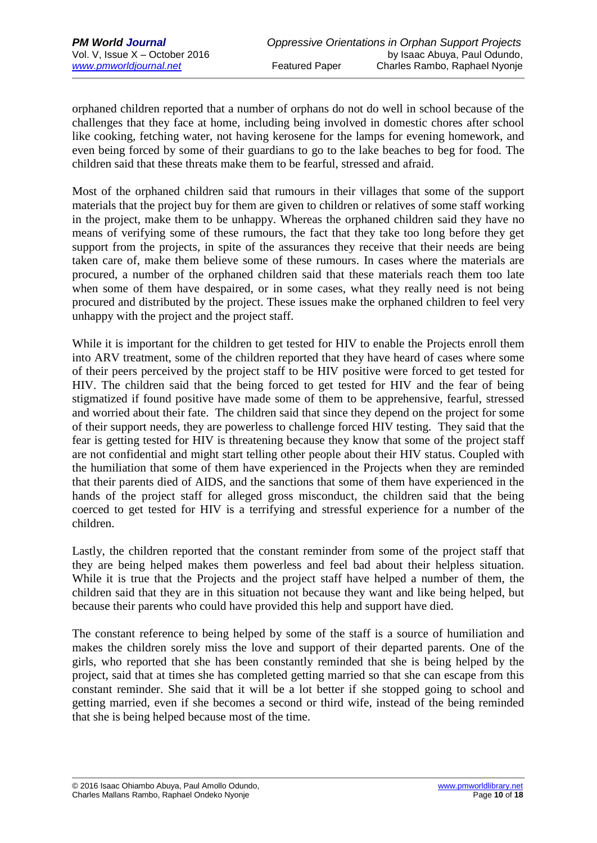orphaned children reported that a number of orphans do not do well in school because of the challenges that they face at home, including being involved in domestic chores after school like cooking, fetching water, not having kerosene for the lamps for evening homework, and even being forced by some of their guardians to go to the lake beaches to beg for food. The children said that these threats make them to be fearful, stressed and afraid.

Most of the orphaned children said that rumours in their villages that some of the support materials that the project buy for them are given to children or relatives of some staff working in the project, make them to be unhappy. Whereas the orphaned children said they have no means of verifying some of these rumours, the fact that they take too long before they get support from the projects, in spite of the assurances they receive that their needs are being taken care of, make them believe some of these rumours. In cases where the materials are procured, a number of the orphaned children said that these materials reach them too late when some of them have despaired, or in some cases, what they really need is not being procured and distributed by the project. These issues make the orphaned children to feel very unhappy with the project and the project staff.

While it is important for the children to get tested for HIV to enable the Projects enroll them into ARV treatment, some of the children reported that they have heard of cases where some of their peers perceived by the project staff to be HIV positive were forced to get tested for HIV. The children said that the being forced to get tested for HIV and the fear of being stigmatized if found positive have made some of them to be apprehensive, fearful, stressed and worried about their fate. The children said that since they depend on the project for some of their support needs, they are powerless to challenge forced HIV testing. They said that the fear is getting tested for HIV is threatening because they know that some of the project staff are not confidential and might start telling other people about their HIV status. Coupled with the humiliation that some of them have experienced in the Projects when they are reminded that their parents died of AIDS, and the sanctions that some of them have experienced in the hands of the project staff for alleged gross misconduct, the children said that the being coerced to get tested for HIV is a terrifying and stressful experience for a number of the children.

Lastly, the children reported that the constant reminder from some of the project staff that they are being helped makes them powerless and feel bad about their helpless situation. While it is true that the Projects and the project staff have helped a number of them, the children said that they are in this situation not because they want and like being helped, but because their parents who could have provided this help and support have died.

The constant reference to being helped by some of the staff is a source of humiliation and makes the children sorely miss the love and support of their departed parents. One of the girls, who reported that she has been constantly reminded that she is being helped by the project, said that at times she has completed getting married so that she can escape from this constant reminder. She said that it will be a lot better if she stopped going to school and getting married, even if she becomes a second or third wife, instead of the being reminded that she is being helped because most of the time.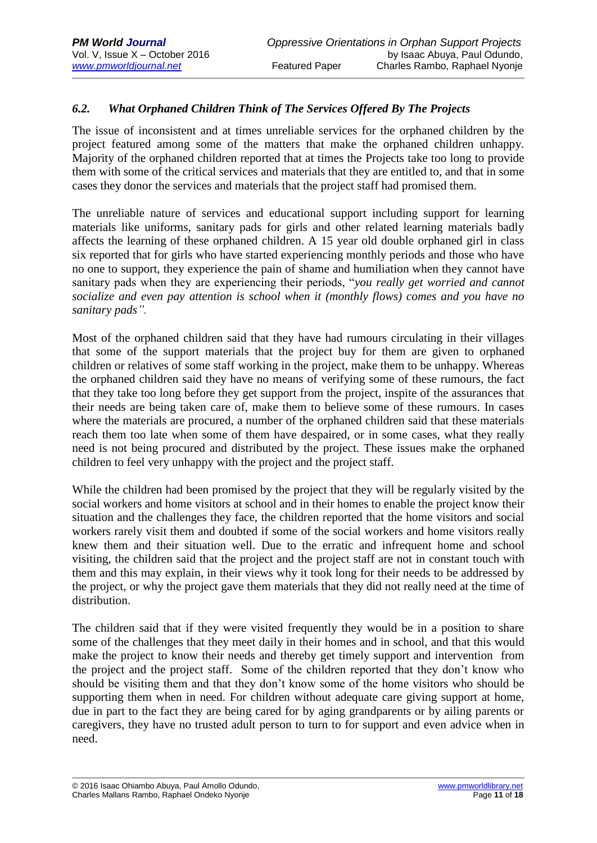## *6.2. What Orphaned Children Think of The Services Offered By The Projects*

The issue of inconsistent and at times unreliable services for the orphaned children by the project featured among some of the matters that make the orphaned children unhappy. Majority of the orphaned children reported that at times the Projects take too long to provide them with some of the critical services and materials that they are entitled to, and that in some cases they donor the services and materials that the project staff had promised them.

The unreliable nature of services and educational support including support for learning materials like uniforms, sanitary pads for girls and other related learning materials badly affects the learning of these orphaned children. A 15 year old double orphaned girl in class six reported that for girls who have started experiencing monthly periods and those who have no one to support, they experience the pain of shame and humiliation when they cannot have sanitary pads when they are experiencing their periods, "*you really get worried and cannot socialize and even pay attention is school when it (monthly flows) comes and you have no sanitary pads".*

Most of the orphaned children said that they have had rumours circulating in their villages that some of the support materials that the project buy for them are given to orphaned children or relatives of some staff working in the project, make them to be unhappy. Whereas the orphaned children said they have no means of verifying some of these rumours, the fact that they take too long before they get support from the project, inspite of the assurances that their needs are being taken care of, make them to believe some of these rumours. In cases where the materials are procured, a number of the orphaned children said that these materials reach them too late when some of them have despaired, or in some cases, what they really need is not being procured and distributed by the project. These issues make the orphaned children to feel very unhappy with the project and the project staff.

While the children had been promised by the project that they will be regularly visited by the social workers and home visitors at school and in their homes to enable the project know their situation and the challenges they face, the children reported that the home visitors and social workers rarely visit them and doubted if some of the social workers and home visitors really knew them and their situation well. Due to the erratic and infrequent home and school visiting, the children said that the project and the project staff are not in constant touch with them and this may explain, in their views why it took long for their needs to be addressed by the project, or why the project gave them materials that they did not really need at the time of distribution.

The children said that if they were visited frequently they would be in a position to share some of the challenges that they meet daily in their homes and in school, and that this would make the project to know their needs and thereby get timely support and intervention from the project and the project staff. Some of the children reported that they don't know who should be visiting them and that they don't know some of the home visitors who should be supporting them when in need. For children without adequate care giving support at home, due in part to the fact they are being cared for by aging grandparents or by ailing parents or caregivers, they have no trusted adult person to turn to for support and even advice when in need.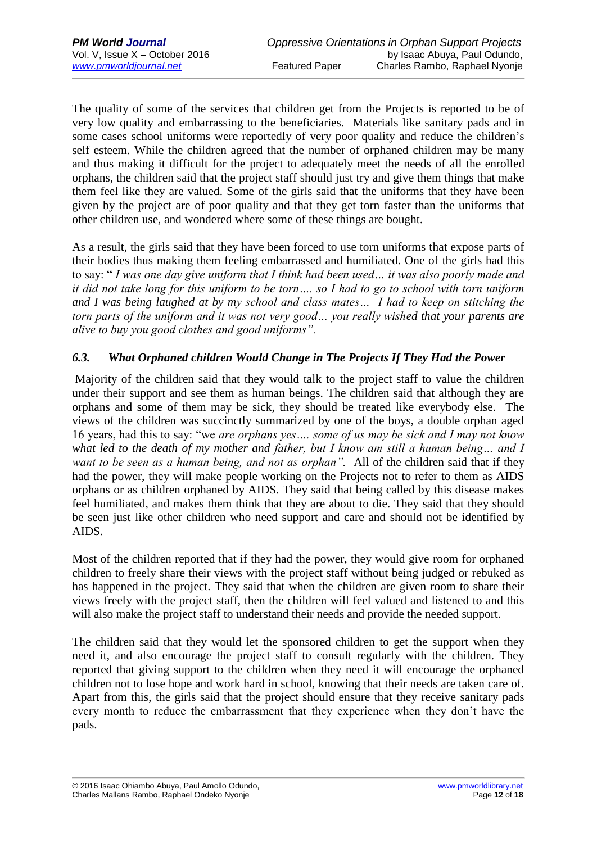The quality of some of the services that children get from the Projects is reported to be of very low quality and embarrassing to the beneficiaries. Materials like sanitary pads and in some cases school uniforms were reportedly of very poor quality and reduce the children's self esteem. While the children agreed that the number of orphaned children may be many and thus making it difficult for the project to adequately meet the needs of all the enrolled orphans, the children said that the project staff should just try and give them things that make them feel like they are valued. Some of the girls said that the uniforms that they have been given by the project are of poor quality and that they get torn faster than the uniforms that other children use, and wondered where some of these things are bought.

As a result, the girls said that they have been forced to use torn uniforms that expose parts of their bodies thus making them feeling embarrassed and humiliated. One of the girls had this to say: " *I was one day give uniform that I think had been used… it was also poorly made and it did not take long for this uniform to be torn…. so I had to go to school with torn uniform and I was being laughed at by my school and class mates… I had to keep on stitching the torn parts of the uniform and it was not very good… you really wished that your parents are alive to buy you good clothes and good uniforms".*

### *6.3. What Orphaned children Would Change in The Projects If They Had the Power*

Majority of the children said that they would talk to the project staff to value the children under their support and see them as human beings. The children said that although they are orphans and some of them may be sick, they should be treated like everybody else. The views of the children was succinctly summarized by one of the boys, a double orphan aged 16 years, had this to say: "we *are orphans yes…. some of us may be sick and I may not know what led to the death of my mother and father, but I know am still a human being… and I want to be seen as a human being, and not as orphan".* All of the children said that if they had the power, they will make people working on the Projects not to refer to them as AIDS orphans or as children orphaned by AIDS. They said that being called by this disease makes feel humiliated, and makes them think that they are about to die. They said that they should be seen just like other children who need support and care and should not be identified by AIDS.

Most of the children reported that if they had the power, they would give room for orphaned children to freely share their views with the project staff without being judged or rebuked as has happened in the project. They said that when the children are given room to share their views freely with the project staff, then the children will feel valued and listened to and this will also make the project staff to understand their needs and provide the needed support.

The children said that they would let the sponsored children to get the support when they need it, and also encourage the project staff to consult regularly with the children. They reported that giving support to the children when they need it will encourage the orphaned children not to lose hope and work hard in school, knowing that their needs are taken care of. Apart from this, the girls said that the project should ensure that they receive sanitary pads every month to reduce the embarrassment that they experience when they don't have the pads.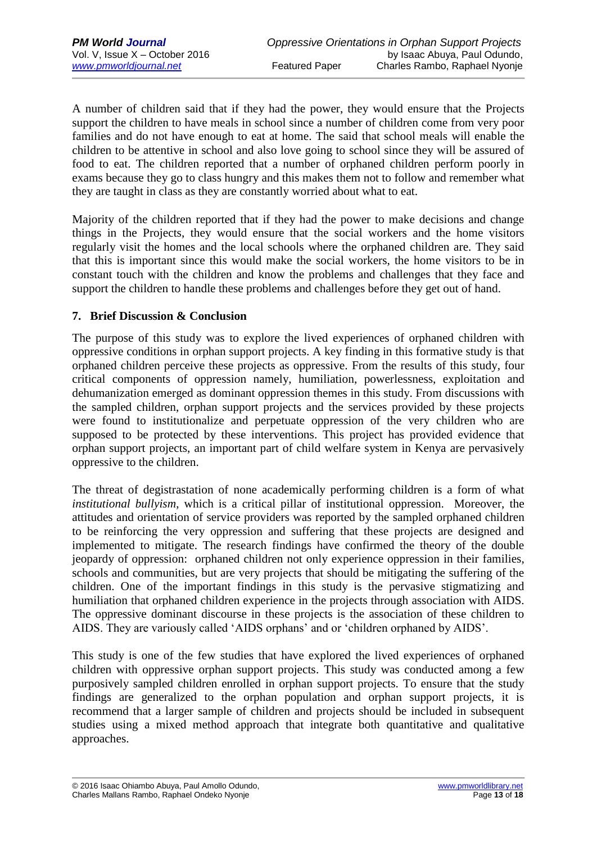A number of children said that if they had the power, they would ensure that the Projects support the children to have meals in school since a number of children come from very poor families and do not have enough to eat at home. The said that school meals will enable the children to be attentive in school and also love going to school since they will be assured of food to eat. The children reported that a number of orphaned children perform poorly in exams because they go to class hungry and this makes them not to follow and remember what they are taught in class as they are constantly worried about what to eat.

Majority of the children reported that if they had the power to make decisions and change things in the Projects, they would ensure that the social workers and the home visitors regularly visit the homes and the local schools where the orphaned children are. They said that this is important since this would make the social workers, the home visitors to be in constant touch with the children and know the problems and challenges that they face and support the children to handle these problems and challenges before they get out of hand.

#### **7. Brief Discussion & Conclusion**

The purpose of this study was to explore the lived experiences of orphaned children with oppressive conditions in orphan support projects. A key finding in this formative study is that orphaned children perceive these projects as oppressive. From the results of this study, four critical components of oppression namely, humiliation, powerlessness, exploitation and dehumanization emerged as dominant oppression themes in this study. From discussions with the sampled children, orphan support projects and the services provided by these projects were found to institutionalize and perpetuate oppression of the very children who are supposed to be protected by these interventions. This project has provided evidence that orphan support projects, an important part of child welfare system in Kenya are pervasively oppressive to the children.

The threat of degistrastation of none academically performing children is a form of what *institutional bullyism*, which is a critical pillar of institutional oppression. Moreover, the attitudes and orientation of service providers was reported by the sampled orphaned children to be reinforcing the very oppression and suffering that these projects are designed and implemented to mitigate. The research findings have confirmed the theory of the double jeopardy of oppression: orphaned children not only experience oppression in their families, schools and communities, but are very projects that should be mitigating the suffering of the children. One of the important findings in this study is the pervasive stigmatizing and humiliation that orphaned children experience in the projects through association with AIDS. The oppressive dominant discourse in these projects is the association of these children to AIDS. They are variously called 'AIDS orphans' and or 'children orphaned by AIDS'.

This study is one of the few studies that have explored the lived experiences of orphaned children with oppressive orphan support projects. This study was conducted among a few purposively sampled children enrolled in orphan support projects. To ensure that the study findings are generalized to the orphan population and orphan support projects, it is recommend that a larger sample of children and projects should be included in subsequent studies using a mixed method approach that integrate both quantitative and qualitative approaches.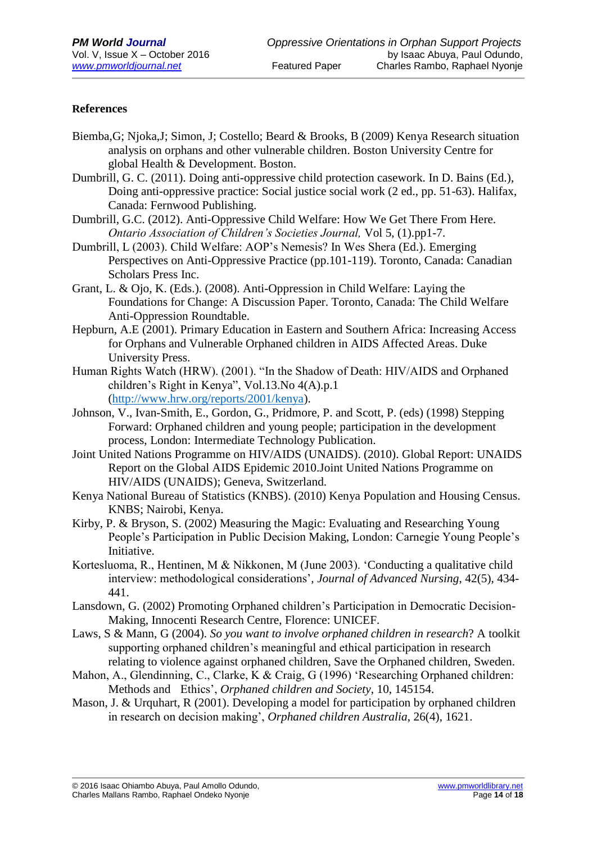#### **References**

- Biemba,G; Njoka,J; Simon, J; Costello; Beard & Brooks, B (2009) Kenya Research situation analysis on orphans and other vulnerable children. Boston University Centre for global Health & Development. Boston.
- Dumbrill, G. C. (2011). Doing anti-oppressive child protection casework. In D. Bains (Ed.), Doing anti-oppressive practice: Social justice social work (2 ed., pp. 51-63). Halifax, Canada: Fernwood Publishing.
- Dumbrill, G.C. (2012). Anti-Oppressive Child Welfare: How We Get There From Here. *Ontario Association of Children's Societies Journal,* Vol 5, (1).pp1-7.
- Dumbrill, L (2003). Child Welfare: AOP's Nemesis? In Wes Shera (Ed.). Emerging Perspectives on Anti-Oppressive Practice (pp.101-119). Toronto, Canada: Canadian Scholars Press Inc.
- Grant, L. & Ojo, K. (Eds.). (2008). Anti-Oppression in Child Welfare: Laying the Foundations for Change: A Discussion Paper. Toronto, Canada: The Child Welfare Anti-Oppression Roundtable.
- Hepburn, A.E (2001). Primary Education in Eastern and Southern Africa: Increasing Access for Orphans and Vulnerable Orphaned children in AIDS Affected Areas. Duke University Press.
- Human Rights Watch (HRW). (2001). "In the Shadow of Death: HIV/AIDS and Orphaned children's Right in Kenya", Vol.13.No 4(A).p.1 [\(http://www.hrw.org/reports/2001/kenya\)](http://www.hrw.org/reports/2001/kenya).
- Johnson, V., Ivan-Smith, E., Gordon, G., Pridmore, P. and Scott, P. (eds) (1998) Stepping Forward: Orphaned children and young people; participation in the development process, London: Intermediate Technology Publication.
- Joint United Nations Programme on HIV/AIDS (UNAIDS). (2010). Global Report: UNAIDS Report on the Global AIDS Epidemic 2010.Joint United Nations Programme on HIV/AIDS (UNAIDS); Geneva, Switzerland.
- Kenya National Bureau of Statistics (KNBS). (2010) Kenya Population and Housing Census. KNBS; Nairobi, Kenya.
- Kirby, P. & Bryson, S. (2002) Measuring the Magic: Evaluating and Researching Young People's Participation in Public Decision Making, London: Carnegie Young People's Initiative.
- Kortesluoma, R., Hentinen, M & Nikkonen, M (June 2003). 'Conducting a qualitative child interview: methodological considerations'*, Journal of Advanced Nursing*, 42(5), 434- 441.
- Lansdown, G. (2002) Promoting Orphaned children's Participation in Democratic Decision-Making, Innocenti Research Centre, Florence: UNICEF.
- Laws, S & Mann, G (2004). *So you want to involve orphaned children in research*? A toolkit supporting orphaned children's meaningful and ethical participation in research relating to violence against orphaned children, Save the Orphaned children, Sweden.
- Mahon, A., Glendinning, C., Clarke, K & Craig, G (1996) 'Researching Orphaned children: Methods and Ethics', *Orphaned children and Society*, 10, 145154.
- Mason, J. & Urquhart, R (2001). Developing a model for participation by orphaned children in research on decision making', *Orphaned children Australia*, 26(4), 1621.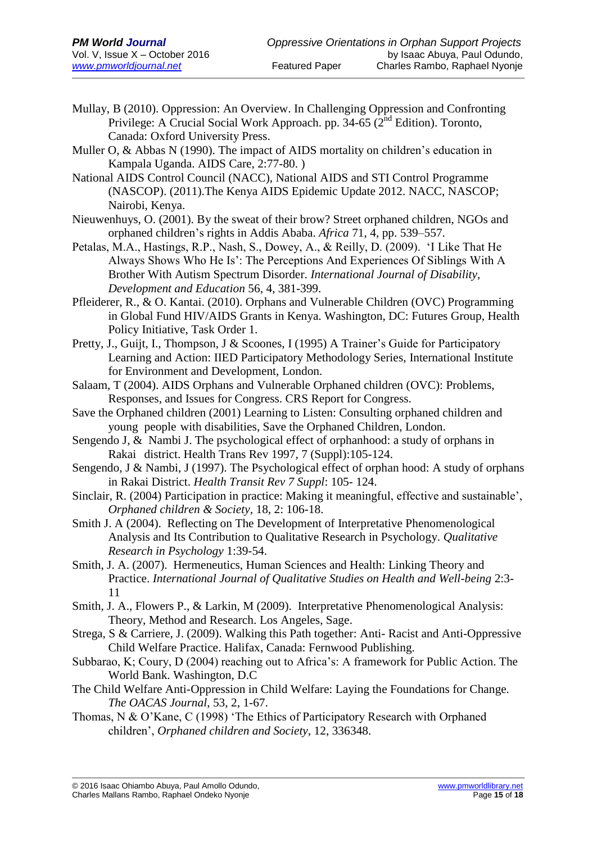- Mullay, B (2010). Oppression: An Overview. In Challenging Oppression and Confronting Privilege: A Crucial Social Work Approach. pp.  $34-65$  ( $2<sup>nd</sup>$  Edition). Toronto, Canada: Oxford University Press.
- Muller O, & Abbas N (1990). The impact of AIDS mortality on children's education in Kampala Uganda. AIDS Care, 2:77-80. )
- National AIDS Control Council (NACC), National AIDS and STI Control Programme (NASCOP). (2011).The Kenya AIDS Epidemic Update 2012. NACC, NASCOP; Nairobi, Kenya.
- Nieuwenhuys, O. (2001). By the sweat of their brow? Street orphaned children, NGOs and orphaned children's rights in Addis Ababa. *Africa* 71, 4, pp. 539–557.
- Petalas, M.A., Hastings, R.P., Nash, S., Dowey, A., & Reilly, D. (2009). 'I Like That He Always Shows Who He Is': The Perceptions And Experiences Of Siblings With A Brother With Autism Spectrum Disorder. *International Journal of Disability, Development and Education* 56, 4, 381-399.
- Pfleiderer, R., & O. Kantai. (2010). Orphans and Vulnerable Children (OVC) Programming in Global Fund HIV/AIDS Grants in Kenya. Washington, DC: Futures Group, Health Policy Initiative, Task Order 1.
- Pretty, J., Guijt, I., Thompson, J & Scoones, I (1995) A Trainer's Guide for Participatory Learning and Action: IIED Participatory Methodology Series, International Institute for Environment and Development, London.
- Salaam, T (2004). AIDS Orphans and Vulnerable Orphaned children (OVC): Problems, Responses, and Issues for Congress. CRS Report for Congress.
- Save the Orphaned children (2001) Learning to Listen: Consulting orphaned children and young people with disabilities, Save the Orphaned Children, London.
- Sengendo J, & Nambi J. The psychological effect of orphanhood: a study of orphans in Rakai district. Health Trans Rev 1997, 7 (Suppl):105-124.
- Sengendo, J & Nambi, J (1997). The Psychological effect of orphan hood: A study of orphans in Rakai District. *Health Transit Rev 7 Suppl*: 105- 124.
- Sinclair, R. (2004) Participation in practice: Making it meaningful, effective and sustainable', *Orphaned children & Society,* 18, 2: 106-18.
- Smith J. A (2004). Reflecting on The Development of Interpretative Phenomenological Analysis and Its Contribution to Qualitative Research in Psychology. *Qualitative Research in Psychology* 1:39-54.
- Smith, J. A. (2007). Hermeneutics, Human Sciences and Health: Linking Theory and Practice. *International Journal of Qualitative Studies on Health and Well-being* 2:3- 11
- Smith, J. A., Flowers P., & Larkin, M (2009). Interpretative Phenomenological Analysis: Theory, Method and Research. Los Angeles, Sage.
- Strega, S & Carriere, J. (2009). Walking this Path together: Anti- Racist and Anti-Oppressive Child Welfare Practice. Halifax, Canada: Fernwood Publishing.
- Subbarao, K; Coury, D (2004) reaching out to Africa's: A framework for Public Action. The World Bank. Washington, D.C
- The Child Welfare Anti-Oppression in Child Welfare: Laying the Foundations for Change. *The OACAS Journal*, 53, 2, 1-67.
- Thomas, N & O'Kane, C (1998) 'The Ethics of Participatory Research with Orphaned children', *Orphaned children and Society*, 12, 336348.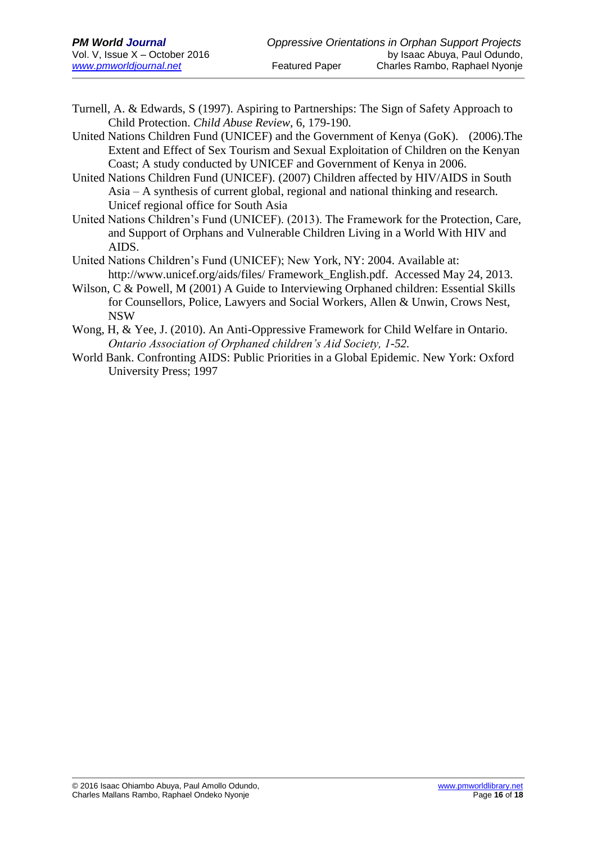- Turnell, A. & Edwards, S (1997). Aspiring to Partnerships: The Sign of Safety Approach to Child Protection. *Child Abuse Review*, 6, 179-190.
- United Nations Children Fund (UNICEF) and the Government of Kenya (GoK). (2006).The Extent and Effect of Sex Tourism and Sexual Exploitation of Children on the Kenyan Coast; A study conducted by UNICEF and Government of Kenya in 2006.
- United Nations Children Fund (UNICEF). (2007) Children affected by HIV/AIDS in South Asia – A synthesis of current global, regional and national thinking and research. Unicef regional office for South Asia
- United Nations Children's Fund (UNICEF). (2013). The Framework for the Protection, Care, and Support of Orphans and Vulnerable Children Living in a World With HIV and AIDS.
- United Nations Children's Fund (UNICEF); New York, NY: 2004. Available at: http://www.unicef.org/aids/files/ Framework\_English.pdf. Accessed May 24, 2013.
- Wilson, C & Powell, M (2001) A Guide to Interviewing Orphaned children: Essential Skills for Counsellors, Police, Lawyers and Social Workers, Allen & Unwin, Crows Nest, NSW
- Wong, H, & Yee, J. (2010). An Anti-Oppressive Framework for Child Welfare in Ontario. *Ontario Association of Orphaned children's Aid Society, 1-52.*
- World Bank. Confronting AIDS: Public Priorities in a Global Epidemic. New York: Oxford University Press; 1997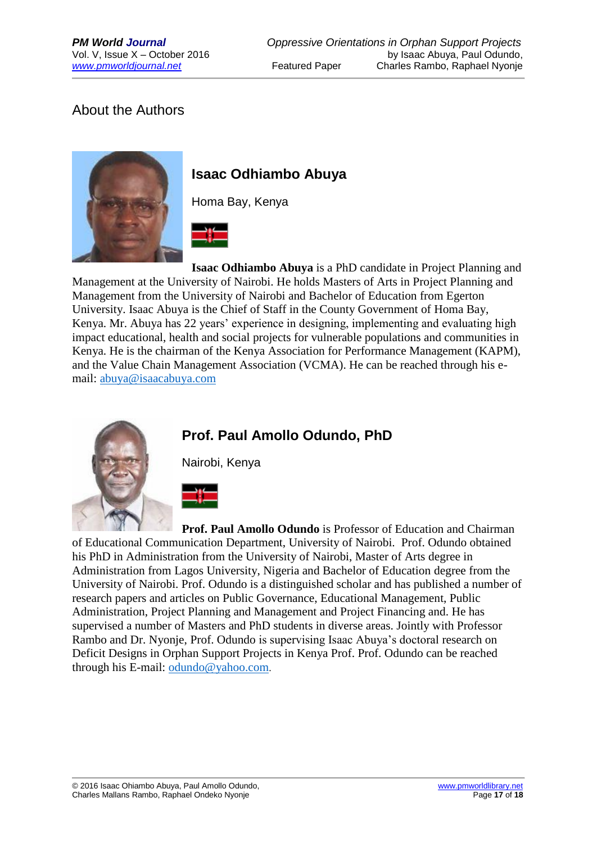## About the Authors



## **Isaac Odhiambo Abuya**

Homa Bay, Kenya



**Isaac Odhiambo Abuya** is a PhD candidate in Project Planning and Management at the University of Nairobi. He holds Masters of Arts in Project Planning and Management from the University of Nairobi and Bachelor of Education from Egerton University. Isaac Abuya is the Chief of Staff in the County Government of Homa Bay, Kenya. Mr. Abuya has 22 years' experience in designing, implementing and evaluating high impact educational, health and social projects for vulnerable populations and communities in Kenya. He is the chairman of the Kenya Association for Performance Management (KAPM), and the Value Chain Management Association (VCMA). He can be reached through his email: [abuya@isaacabuya.com](mailto:abuya@isaacabuya.com)



## **Prof. Paul Amollo Odundo, PhD**

Nairobi, Kenya



**Prof. Paul Amollo Odundo** is Professor of Education and Chairman of Educational Communication Department, University of Nairobi. Prof. Odundo obtained his PhD in Administration from the University of Nairobi, Master of Arts degree in Administration from Lagos University, Nigeria and Bachelor of Education degree from the University of Nairobi. Prof. Odundo is a distinguished scholar and has published a number of research papers and articles on Public Governance, Educational Management, Public Administration, Project Planning and Management and Project Financing and. He has supervised a number of Masters and PhD students in diverse areas. Jointly with Professor Rambo and Dr. Nyonje, Prof. Odundo is supervising Isaac Abuya's doctoral research on Deficit Designs in Orphan Support Projects in Kenya Prof. Prof. Odundo can be reached through his E-mail: [odundo@yahoo.com](mailto:odundo@yahoo.com).